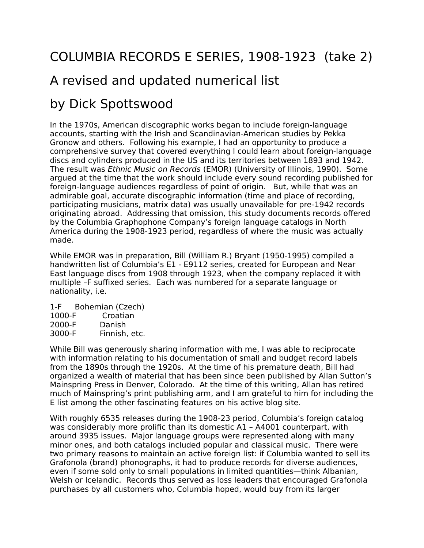## COLUMBIA RECORDS E SERIES, 1908-1923 (take 2)

## A revised and updated numerical list

## by Dick Spottswood

In the 1970s, American discographic works began to include foreign-language accounts, starting with the Irish and Scandinavian-American studies by Pekka Gronow and others. Following his example, I had an opportunity to produce a comprehensive survey that covered everything I could learn about foreign-language discs and cylinders produced in the US and its territories between 1893 and 1942. The result was Ethnic Music on Records (EMOR) (University of Illinois, 1990). Some argued at the time that the work should include every sound recording published for foreign-language audiences regardless of point of origin. But, while that was an admirable goal, accurate discographic information (time and place of recording, participating musicians, matrix data) was usually unavailable for pre-1942 records originating abroad. Addressing that omission, this study documents records offered by the Columbia Graphophone Company's foreign language catalogs in North America during the 1908-1923 period, regardless of where the music was actually made.

While EMOR was in preparation, Bill (William R.) Bryant (1950-1995) compiled a handwritten list of Columbia's E1 - E9112 series, created for European and Near East language discs from 1908 through 1923, when the company replaced it with multiple –F suffixed series. Each was numbered for a separate language or nationality, i.e.

1-F Bohemian (Czech) 1000-F Croatian 2000-F Danish 3000-F Finnish, etc.

While Bill was generously sharing information with me, I was able to reciprocate with information relating to his documentation of small and budget record labels from the 1890s through the 1920s. At the time of his premature death, Bill had organized a wealth of material that has been since been published by Allan Sutton's Mainspring Press in Denver, Colorado. At the time of this writing, Allan has retired much of Mainspring's print publishing arm, and I am grateful to him for including the E list among the other fascinating features on his active blog site.

With roughly 6535 releases during the 1908-23 period, Columbia's foreign catalog was considerably more prolific than its domestic A1 – A4001 counterpart, with around 3935 issues. Major language groups were represented along with many minor ones, and both catalogs included popular and classical music. There were two primary reasons to maintain an active foreign list: if Columbia wanted to sell its Grafonola (brand) phonographs, it had to produce records for diverse audiences, even if some sold only to small populations in limited quantities—think Albanian, Welsh or Icelandic. Records thus served as loss leaders that encouraged Grafonola purchases by all customers who, Columbia hoped, would buy from its larger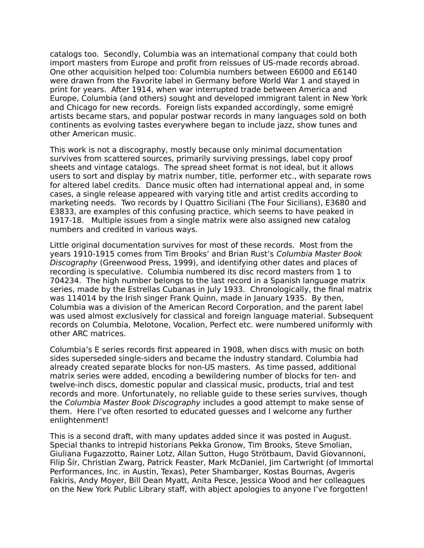catalogs too. Secondly, Columbia was an international company that could both import masters from Europe and profit from reissues of US-made records abroad. One other acquisition helped too: Columbia numbers between E6000 and E6140 were drawn from the Favorite label in Germany before World War 1 and stayed in print for years. After 1914, when war interrupted trade between America and Europe, Columbia (and others) sought and developed immigrant talent in New York and Chicago for new records. Foreign lists expanded accordingly, some emigré artists became stars, and popular postwar records in many languages sold on both continents as evolving tastes everywhere began to include jazz, show tunes and other American music.

This work is not a discography, mostly because only minimal documentation survives from scattered sources, primarily surviving pressings, label copy proof sheets and vintage catalogs. The spread sheet format is not ideal, but it allows users to sort and display by matrix number, title, performer etc., with separate rows for altered label credits. Dance music often had international appeal and, in some cases, a single release appeared with varying title and artist credits according to marketing needs. Two records by I Quattro Siciliani (The Four Sicilians), E3680 and E3833, are examples of this confusing practice, which seems to have peaked in 1917-18. Multiple issues from a single matrix were also assigned new catalog numbers and credited in various ways.

Little original documentation survives for most of these records. Most from the years 1910-1915 comes from Tim Brooks' and Brian Rust's Columbia Master Book Discography (Greenwood Press, 1999), and identifying other dates and places of recording is speculative. Columbia numbered its disc record masters from 1 to 704234. The high number belongs to the last record in a Spanish language matrix series, made by the Estrellas Cubanas in July 1933. Chronologically, the final matrix was 114014 by the Irish singer Frank Quinn, made in January 1935. By then, Columbia was a division of the American Record Corporation, and the parent label was used almost exclusively for classical and foreign language material. Subsequent records on Columbia, Melotone, Vocalion, Perfect etc. were numbered uniformly with other ARC matrices.

Columbia's E series records first appeared in 1908, when discs with music on both sides superseded single-siders and became the industry standard. Columbia had already created separate blocks for non-US masters. As time passed, additional matrix series were added, encoding a bewildering number of blocks for ten- and twelve-inch discs, domestic popular and classical music, products, trial and test records and more. Unfortunately, no reliable guide to these series survives, though the Columbia Master Book Discography includes a good attempt to make sense of them. Here I've often resorted to educated guesses and I welcome any further enlightenment!

This is a second draft, with many updates added since it was posted in August. Special thanks to intrepid historians Pekka Gronow, Tim Brooks, Steve Smolian, Giuliana Fugazzotto, Rainer Lotz, Allan Sutton, Hugo Strötbaum, David Giovannoni, Filip Šír, Christian Zwarg, Patrick Feaster, Mark McDaniel, Jim Cartwright (of Immortal Performances, Inc. in Austin, Texas), Peter Shambarger, Kostas Bournas, Avgeris Fakiris, Andy Moyer, Bill Dean Myatt, Anita Pesce, Jessica Wood and her colleagues on the New York Public Library staff, with abject apologies to anyone I've forgotten!